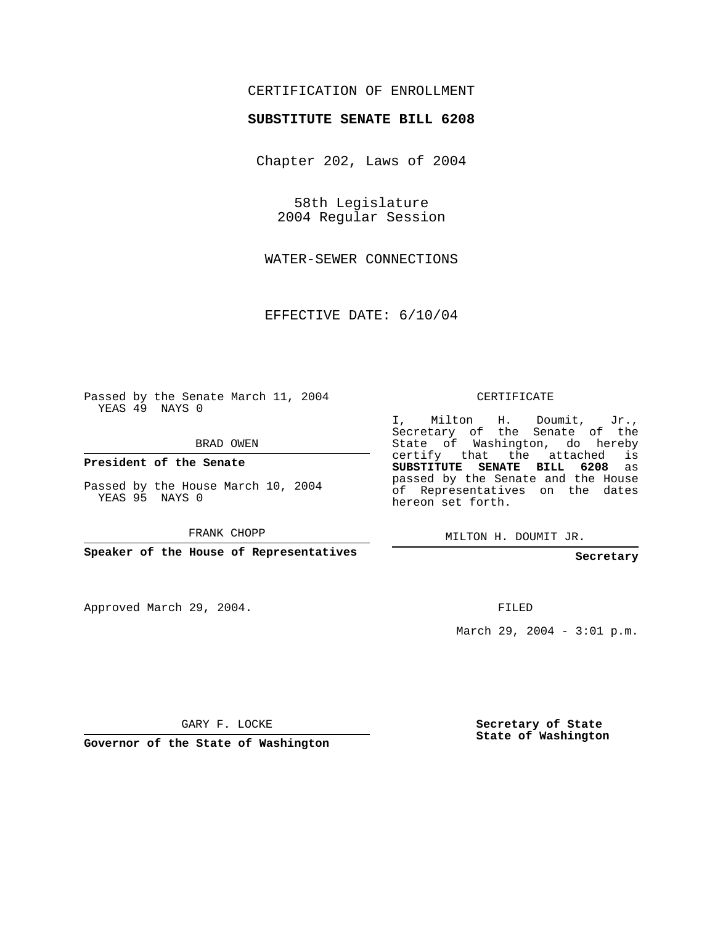## CERTIFICATION OF ENROLLMENT

## **SUBSTITUTE SENATE BILL 6208**

Chapter 202, Laws of 2004

58th Legislature 2004 Regular Session

WATER-SEWER CONNECTIONS

EFFECTIVE DATE: 6/10/04

Passed by the Senate March 11, 2004 YEAS 49 NAYS 0

BRAD OWEN

**President of the Senate**

Passed by the House March 10, 2004 YEAS 95 NAYS 0

FRANK CHOPP

**Speaker of the House of Representatives**

Approved March 29, 2004.

CERTIFICATE

I, Milton H. Doumit, Jr., Secretary of the Senate of the State of Washington, do hereby certify that the attached is **SUBSTITUTE SENATE BILL 6208** as passed by the Senate and the House of Representatives on the dates hereon set forth.

MILTON H. DOUMIT JR.

**Secretary**

FILED

March 29, 2004 - 3:01 p.m.

GARY F. LOCKE

**Governor of the State of Washington**

**Secretary of State State of Washington**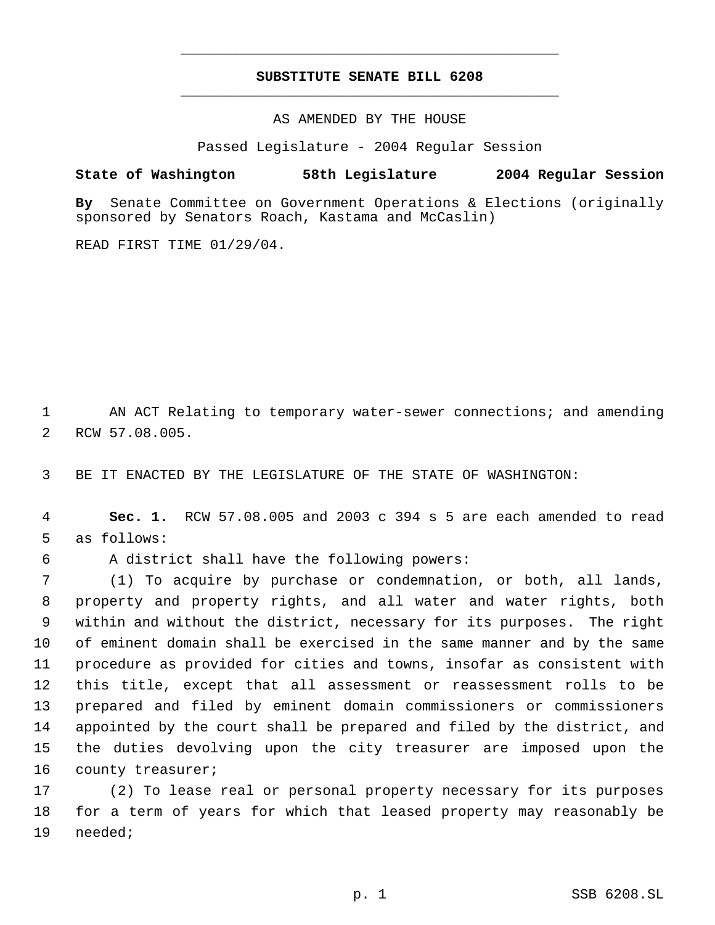## **SUBSTITUTE SENATE BILL 6208** \_\_\_\_\_\_\_\_\_\_\_\_\_\_\_\_\_\_\_\_\_\_\_\_\_\_\_\_\_\_\_\_\_\_\_\_\_\_\_\_\_\_\_\_\_

\_\_\_\_\_\_\_\_\_\_\_\_\_\_\_\_\_\_\_\_\_\_\_\_\_\_\_\_\_\_\_\_\_\_\_\_\_\_\_\_\_\_\_\_\_

AS AMENDED BY THE HOUSE

Passed Legislature - 2004 Regular Session

## **State of Washington 58th Legislature 2004 Regular Session**

**By** Senate Committee on Government Operations & Elections (originally sponsored by Senators Roach, Kastama and McCaslin)

READ FIRST TIME 01/29/04.

 AN ACT Relating to temporary water-sewer connections; and amending RCW 57.08.005.

BE IT ENACTED BY THE LEGISLATURE OF THE STATE OF WASHINGTON:

 **Sec. 1.** RCW 57.08.005 and 2003 c 394 s 5 are each amended to read as follows:

A district shall have the following powers:

 (1) To acquire by purchase or condemnation, or both, all lands, property and property rights, and all water and water rights, both within and without the district, necessary for its purposes. The right of eminent domain shall be exercised in the same manner and by the same procedure as provided for cities and towns, insofar as consistent with this title, except that all assessment or reassessment rolls to be prepared and filed by eminent domain commissioners or commissioners appointed by the court shall be prepared and filed by the district, and the duties devolving upon the city treasurer are imposed upon the 16 county treasurer;

 (2) To lease real or personal property necessary for its purposes for a term of years for which that leased property may reasonably be needed;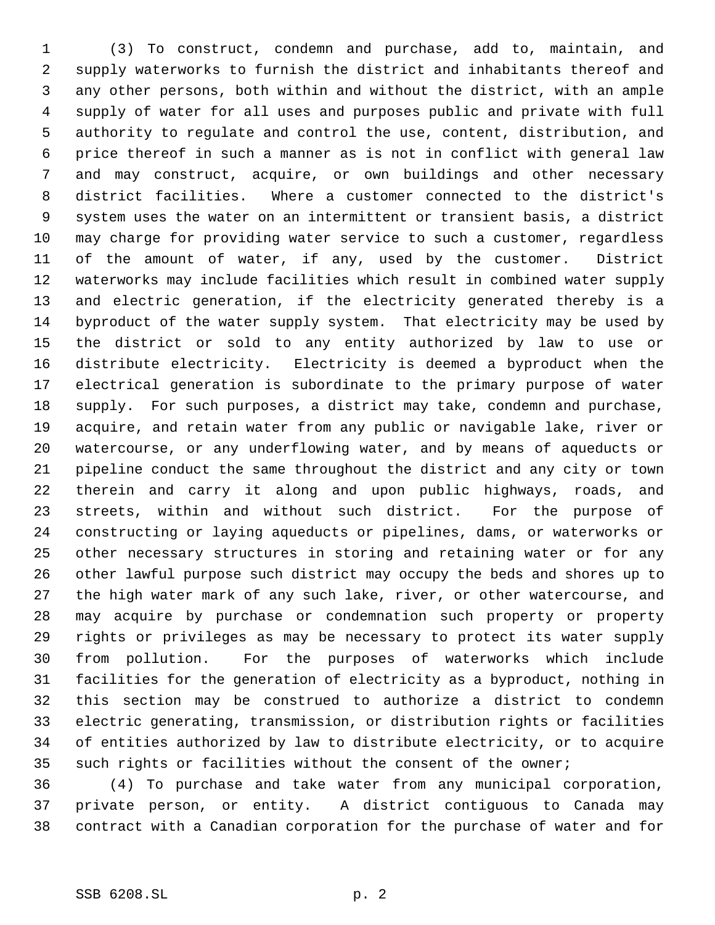(3) To construct, condemn and purchase, add to, maintain, and supply waterworks to furnish the district and inhabitants thereof and any other persons, both within and without the district, with an ample supply of water for all uses and purposes public and private with full authority to regulate and control the use, content, distribution, and price thereof in such a manner as is not in conflict with general law and may construct, acquire, or own buildings and other necessary district facilities. Where a customer connected to the district's system uses the water on an intermittent or transient basis, a district may charge for providing water service to such a customer, regardless of the amount of water, if any, used by the customer. District waterworks may include facilities which result in combined water supply and electric generation, if the electricity generated thereby is a byproduct of the water supply system. That electricity may be used by the district or sold to any entity authorized by law to use or distribute electricity. Electricity is deemed a byproduct when the electrical generation is subordinate to the primary purpose of water supply. For such purposes, a district may take, condemn and purchase, acquire, and retain water from any public or navigable lake, river or watercourse, or any underflowing water, and by means of aqueducts or pipeline conduct the same throughout the district and any city or town therein and carry it along and upon public highways, roads, and streets, within and without such district. For the purpose of constructing or laying aqueducts or pipelines, dams, or waterworks or other necessary structures in storing and retaining water or for any other lawful purpose such district may occupy the beds and shores up to the high water mark of any such lake, river, or other watercourse, and may acquire by purchase or condemnation such property or property rights or privileges as may be necessary to protect its water supply from pollution. For the purposes of waterworks which include facilities for the generation of electricity as a byproduct, nothing in this section may be construed to authorize a district to condemn electric generating, transmission, or distribution rights or facilities of entities authorized by law to distribute electricity, or to acquire 35 such rights or facilities without the consent of the owner;

 (4) To purchase and take water from any municipal corporation, private person, or entity. A district contiguous to Canada may contract with a Canadian corporation for the purchase of water and for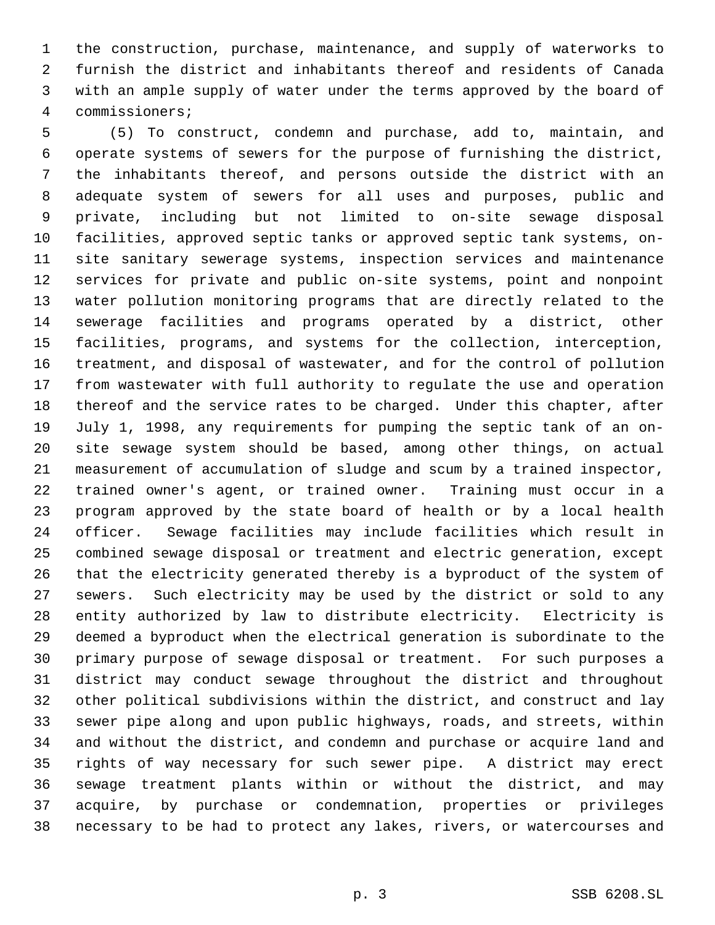the construction, purchase, maintenance, and supply of waterworks to furnish the district and inhabitants thereof and residents of Canada with an ample supply of water under the terms approved by the board of commissioners;

 (5) To construct, condemn and purchase, add to, maintain, and operate systems of sewers for the purpose of furnishing the district, the inhabitants thereof, and persons outside the district with an adequate system of sewers for all uses and purposes, public and private, including but not limited to on-site sewage disposal facilities, approved septic tanks or approved septic tank systems, on- site sanitary sewerage systems, inspection services and maintenance services for private and public on-site systems, point and nonpoint water pollution monitoring programs that are directly related to the sewerage facilities and programs operated by a district, other facilities, programs, and systems for the collection, interception, treatment, and disposal of wastewater, and for the control of pollution from wastewater with full authority to regulate the use and operation thereof and the service rates to be charged. Under this chapter, after July 1, 1998, any requirements for pumping the septic tank of an on- site sewage system should be based, among other things, on actual measurement of accumulation of sludge and scum by a trained inspector, trained owner's agent, or trained owner. Training must occur in a program approved by the state board of health or by a local health officer. Sewage facilities may include facilities which result in combined sewage disposal or treatment and electric generation, except that the electricity generated thereby is a byproduct of the system of sewers. Such electricity may be used by the district or sold to any entity authorized by law to distribute electricity. Electricity is deemed a byproduct when the electrical generation is subordinate to the primary purpose of sewage disposal or treatment. For such purposes a district may conduct sewage throughout the district and throughout other political subdivisions within the district, and construct and lay sewer pipe along and upon public highways, roads, and streets, within and without the district, and condemn and purchase or acquire land and rights of way necessary for such sewer pipe. A district may erect sewage treatment plants within or without the district, and may acquire, by purchase or condemnation, properties or privileges necessary to be had to protect any lakes, rivers, or watercourses and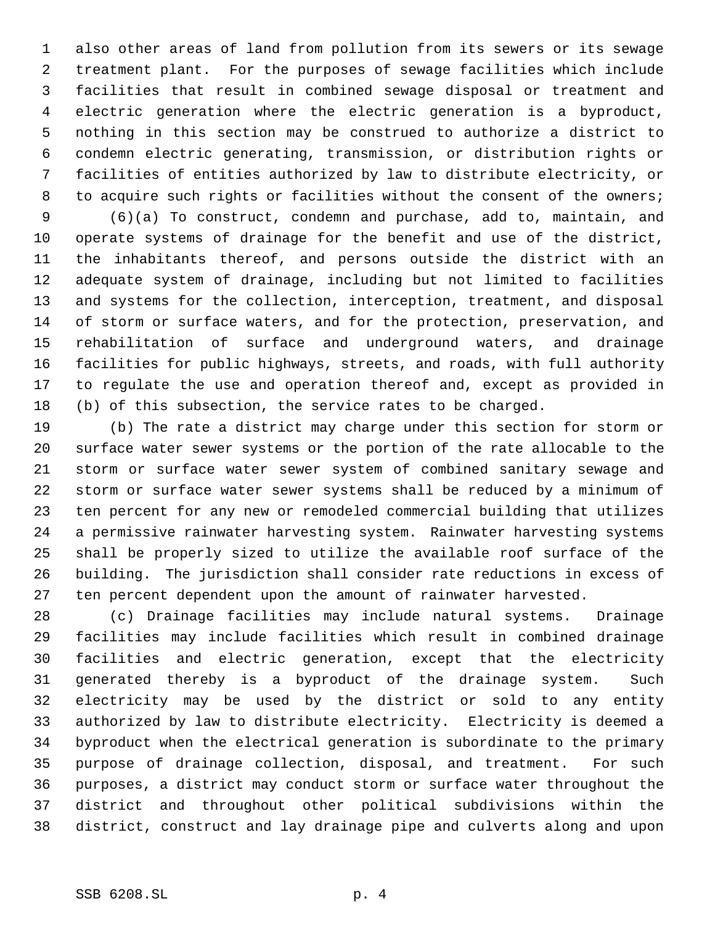also other areas of land from pollution from its sewers or its sewage treatment plant. For the purposes of sewage facilities which include facilities that result in combined sewage disposal or treatment and electric generation where the electric generation is a byproduct, nothing in this section may be construed to authorize a district to condemn electric generating, transmission, or distribution rights or facilities of entities authorized by law to distribute electricity, or 8 to acquire such rights or facilities without the consent of the owners;

 (6)(a) To construct, condemn and purchase, add to, maintain, and operate systems of drainage for the benefit and use of the district, the inhabitants thereof, and persons outside the district with an adequate system of drainage, including but not limited to facilities and systems for the collection, interception, treatment, and disposal of storm or surface waters, and for the protection, preservation, and rehabilitation of surface and underground waters, and drainage facilities for public highways, streets, and roads, with full authority to regulate the use and operation thereof and, except as provided in (b) of this subsection, the service rates to be charged.

 (b) The rate a district may charge under this section for storm or surface water sewer systems or the portion of the rate allocable to the storm or surface water sewer system of combined sanitary sewage and storm or surface water sewer systems shall be reduced by a minimum of ten percent for any new or remodeled commercial building that utilizes a permissive rainwater harvesting system. Rainwater harvesting systems shall be properly sized to utilize the available roof surface of the building. The jurisdiction shall consider rate reductions in excess of ten percent dependent upon the amount of rainwater harvested.

 (c) Drainage facilities may include natural systems. Drainage facilities may include facilities which result in combined drainage facilities and electric generation, except that the electricity generated thereby is a byproduct of the drainage system. Such electricity may be used by the district or sold to any entity authorized by law to distribute electricity. Electricity is deemed a byproduct when the electrical generation is subordinate to the primary purpose of drainage collection, disposal, and treatment. For such purposes, a district may conduct storm or surface water throughout the district and throughout other political subdivisions within the district, construct and lay drainage pipe and culverts along and upon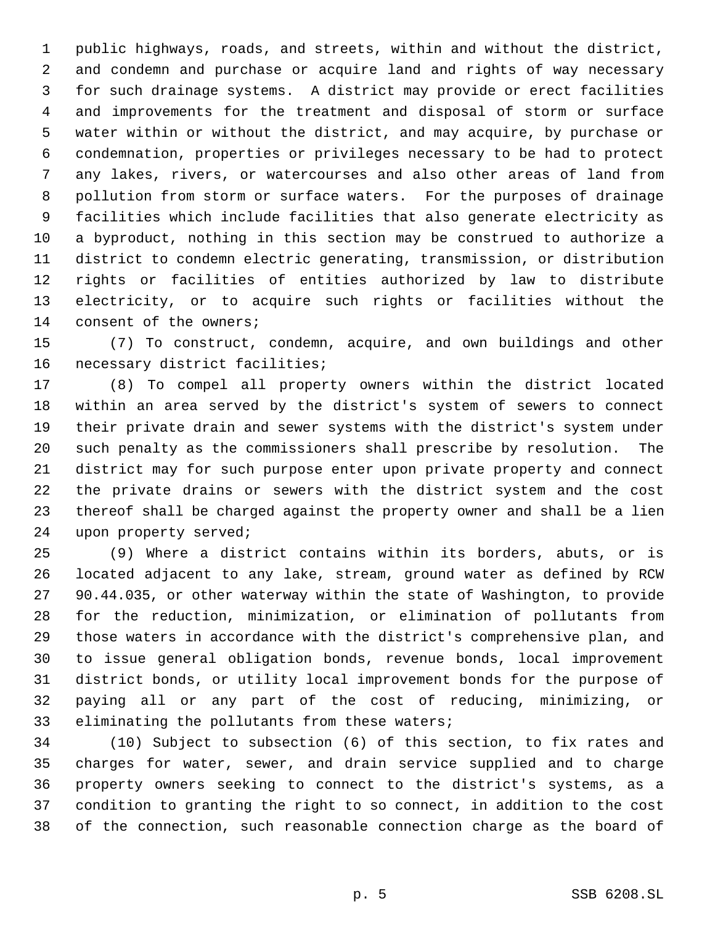public highways, roads, and streets, within and without the district, and condemn and purchase or acquire land and rights of way necessary for such drainage systems. A district may provide or erect facilities and improvements for the treatment and disposal of storm or surface water within or without the district, and may acquire, by purchase or condemnation, properties or privileges necessary to be had to protect any lakes, rivers, or watercourses and also other areas of land from pollution from storm or surface waters. For the purposes of drainage facilities which include facilities that also generate electricity as a byproduct, nothing in this section may be construed to authorize a district to condemn electric generating, transmission, or distribution rights or facilities of entities authorized by law to distribute electricity, or to acquire such rights or facilities without the 14 consent of the owners;

 (7) To construct, condemn, acquire, and own buildings and other necessary district facilities;

 (8) To compel all property owners within the district located within an area served by the district's system of sewers to connect their private drain and sewer systems with the district's system under such penalty as the commissioners shall prescribe by resolution. The district may for such purpose enter upon private property and connect the private drains or sewers with the district system and the cost thereof shall be charged against the property owner and shall be a lien upon property served;

 (9) Where a district contains within its borders, abuts, or is located adjacent to any lake, stream, ground water as defined by RCW 90.44.035, or other waterway within the state of Washington, to provide for the reduction, minimization, or elimination of pollutants from those waters in accordance with the district's comprehensive plan, and to issue general obligation bonds, revenue bonds, local improvement district bonds, or utility local improvement bonds for the purpose of paying all or any part of the cost of reducing, minimizing, or eliminating the pollutants from these waters;

 (10) Subject to subsection (6) of this section, to fix rates and charges for water, sewer, and drain service supplied and to charge property owners seeking to connect to the district's systems, as a condition to granting the right to so connect, in addition to the cost of the connection, such reasonable connection charge as the board of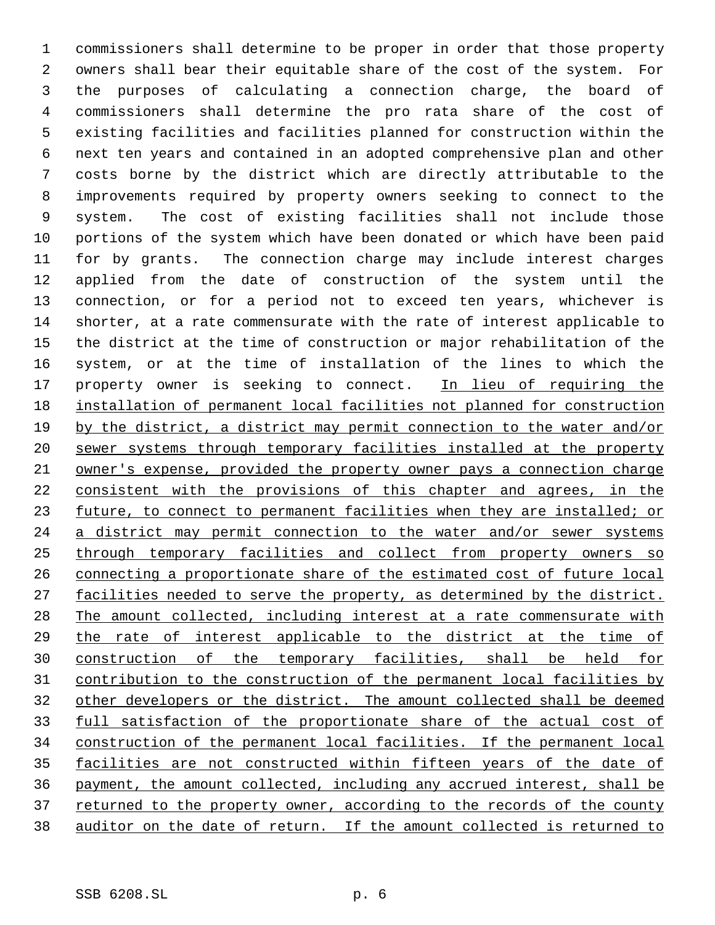commissioners shall determine to be proper in order that those property owners shall bear their equitable share of the cost of the system. For the purposes of calculating a connection charge, the board of commissioners shall determine the pro rata share of the cost of existing facilities and facilities planned for construction within the next ten years and contained in an adopted comprehensive plan and other costs borne by the district which are directly attributable to the improvements required by property owners seeking to connect to the system. The cost of existing facilities shall not include those portions of the system which have been donated or which have been paid for by grants. The connection charge may include interest charges applied from the date of construction of the system until the connection, or for a period not to exceed ten years, whichever is shorter, at a rate commensurate with the rate of interest applicable to the district at the time of construction or major rehabilitation of the system, or at the time of installation of the lines to which the 17 property owner is seeking to connect. In lieu of requiring the installation of permanent local facilities not planned for construction by the district, a district may permit connection to the water and/or sewer systems through temporary facilities installed at the property owner's expense, provided the property owner pays a connection charge consistent with the provisions of this chapter and agrees, in the 23 future, to connect to permanent facilities when they are installed; or 24 a district may permit connection to the water and/or sewer systems through temporary facilities and collect from property owners so connecting a proportionate share of the estimated cost of future local 27 facilities needed to serve the property, as determined by the district. The amount collected, including interest at a rate commensurate with the rate of interest applicable to the district at the time of construction of the temporary facilities, shall be held for contribution to the construction of the permanent local facilities by other developers or the district. The amount collected shall be deemed full satisfaction of the proportionate share of the actual cost of construction of the permanent local facilities. If the permanent local 35 facilities are not constructed within fifteen years of the date of payment, the amount collected, including any accrued interest, shall be 37 returned to the property owner, according to the records of the county auditor on the date of return. If the amount collected is returned to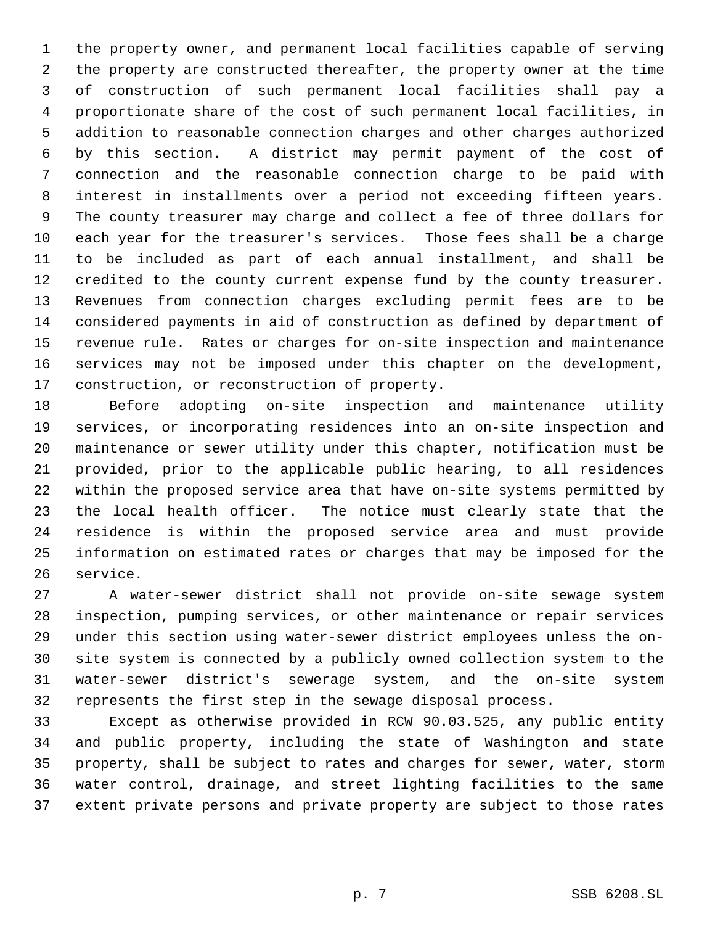the property owner, and permanent local facilities capable of serving 2 the property are constructed thereafter, the property owner at the time 3 of construction of such permanent local facilities shall pay a 4 proportionate share of the cost of such permanent local facilities, in addition to reasonable connection charges and other charges authorized by this section. A district may permit payment of the cost of connection and the reasonable connection charge to be paid with interest in installments over a period not exceeding fifteen years. The county treasurer may charge and collect a fee of three dollars for each year for the treasurer's services. Those fees shall be a charge to be included as part of each annual installment, and shall be credited to the county current expense fund by the county treasurer. Revenues from connection charges excluding permit fees are to be considered payments in aid of construction as defined by department of revenue rule. Rates or charges for on-site inspection and maintenance services may not be imposed under this chapter on the development, construction, or reconstruction of property.

 Before adopting on-site inspection and maintenance utility services, or incorporating residences into an on-site inspection and maintenance or sewer utility under this chapter, notification must be provided, prior to the applicable public hearing, to all residences within the proposed service area that have on-site systems permitted by the local health officer. The notice must clearly state that the residence is within the proposed service area and must provide information on estimated rates or charges that may be imposed for the service.

 A water-sewer district shall not provide on-site sewage system inspection, pumping services, or other maintenance or repair services under this section using water-sewer district employees unless the on- site system is connected by a publicly owned collection system to the water-sewer district's sewerage system, and the on-site system represents the first step in the sewage disposal process.

 Except as otherwise provided in RCW 90.03.525, any public entity and public property, including the state of Washington and state property, shall be subject to rates and charges for sewer, water, storm water control, drainage, and street lighting facilities to the same extent private persons and private property are subject to those rates